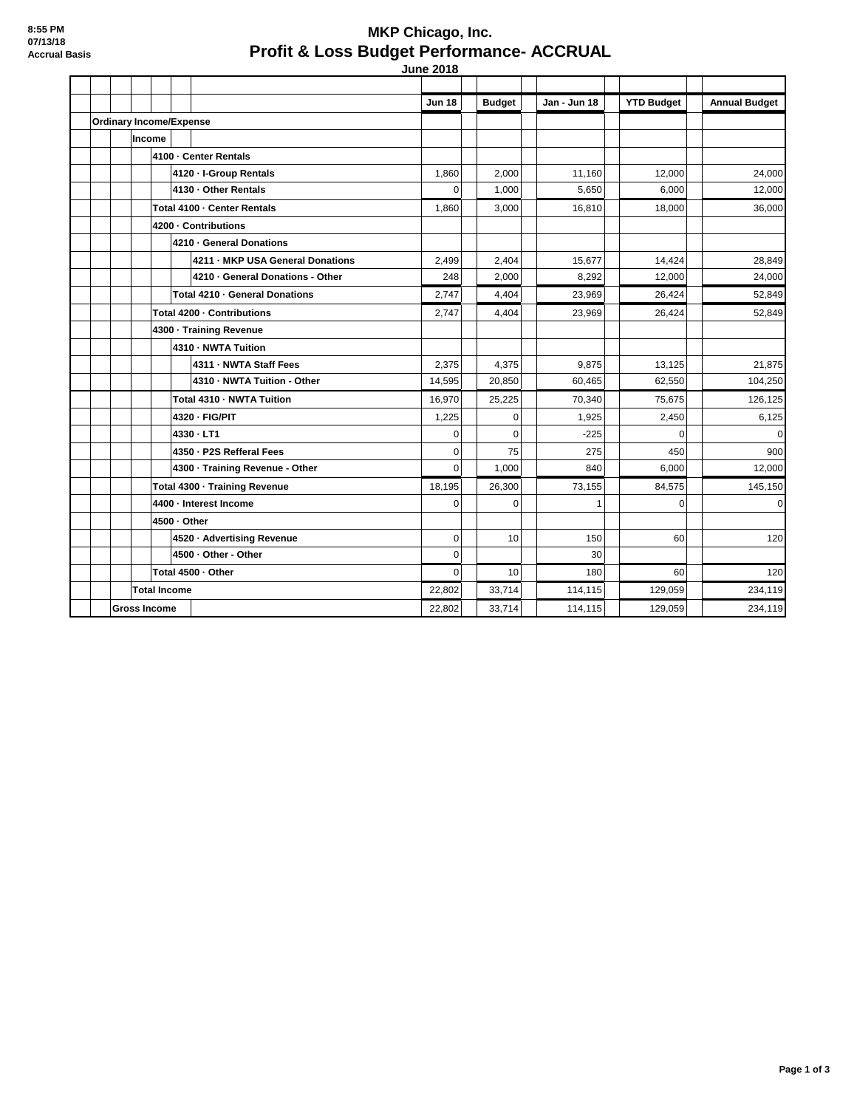## **MKP Chicago, Inc. Profit & Loss Budget Performance- ACCRUAL June 2018**

|                     |                                |                     |                               |  |                                  | Jun 18      | <b>Budget</b> | Jan - Jun 18 | <b>YTD Budget</b> | <b>Annual Budget</b> |
|---------------------|--------------------------------|---------------------|-------------------------------|--|----------------------------------|-------------|---------------|--------------|-------------------|----------------------|
|                     | <b>Ordinary Income/Expense</b> |                     |                               |  |                                  |             |               |              |                   |                      |
|                     |                                | <b>Income</b>       |                               |  |                                  |             |               |              |                   |                      |
|                     |                                |                     |                               |  | 4100 - Center Rentals            |             |               |              |                   |                      |
|                     |                                |                     |                               |  | 4120 - I-Group Rentals           | 1,860       | 2,000         | 11,160       | 12,000            | 24,000               |
|                     |                                |                     |                               |  | 4130 - Other Rentals             | $\mathbf 0$ | 1,000         | 5,650        | 6,000             | 12,000               |
|                     |                                |                     |                               |  | Total 4100 - Center Rentals      | 1,860       | 3,000         | 16,810       | 18,000            | 36,000               |
|                     |                                |                     |                               |  | 4200 - Contributions             |             |               |              |                   |                      |
|                     |                                |                     |                               |  | 4210 - General Donations         |             |               |              |                   |                      |
|                     |                                |                     |                               |  | 4211 - MKP USA General Donations | 2,499       | 2,404         | 15,677       | 14,424            | 28,849               |
|                     |                                |                     |                               |  | 4210 - General Donations - Other | 248         | 2,000         | 8,292        | 12,000            | 24,000               |
|                     |                                |                     |                               |  | Total 4210 - General Donations   | 2,747       | 4,404         | 23,969       | 26,424            | 52,849               |
|                     |                                |                     | Total 4200 - Contributions    |  |                                  |             | 4,404         | 23,969       | 26,424            | 52,849               |
|                     |                                |                     | 4300 · Training Revenue       |  |                                  |             |               |              |                   |                      |
|                     |                                |                     |                               |  | 4310 - NWTA Tuition              |             |               |              |                   |                      |
|                     |                                |                     |                               |  | 4311 - NWTA Staff Fees           | 2,375       | 4,375         | 9,875        | 13,125            | 21,875               |
|                     |                                |                     |                               |  | 4310 - NWTA Tuition - Other      | 14,595      | 20,850        | 60,465       | 62,550            | 104,250              |
|                     |                                |                     |                               |  | Total 4310 - NWTA Tuition        | 16,970      | 25,225        | 70.340       | 75.675            | 126,125              |
|                     |                                |                     |                               |  | 4320 - FIG/PIT                   | 1,225       | 0             | 1,925        | 2,450             | 6,125                |
|                     |                                |                     |                               |  | 4330 - LT1                       | $\Omega$    | $\Omega$      | $-225$       | $\Omega$          | $\Omega$             |
|                     |                                |                     |                               |  | 4350 - P2S Refferal Fees         | $\mathbf 0$ | 75            | 275          | 450               | 900                  |
|                     |                                |                     |                               |  | 4300 - Training Revenue - Other  | $\Omega$    | 1,000         | 840          | 6,000             | 12,000               |
|                     |                                |                     | Total 4300 · Training Revenue |  |                                  |             | 26.300        | 73.155       | 84.575            | 145,150              |
|                     |                                |                     | 4400 - Interest Income        |  |                                  |             | $\Omega$      | 1            | $\Omega$          | $\overline{0}$       |
|                     |                                |                     | 4500 - Other                  |  |                                  |             |               |              |                   |                      |
|                     |                                |                     |                               |  | 4520 · Advertising Revenue       | $\pmb{0}$   | 10            | 150          | 60                | 120                  |
|                     |                                |                     |                               |  | 4500 - Other - Other             | $\mathbf 0$ |               | 30           |                   |                      |
|                     |                                |                     | Total 4500 - Other            |  |                                  |             | 10            | 180          | 60                | 120                  |
|                     |                                | <b>Total Income</b> |                               |  |                                  | 22,802      | 33,714        | 114,115      | 129,059           | 234,119              |
| <b>Gross Income</b> |                                |                     |                               |  |                                  | 22.802      | 33,714        | 114,115      | 129,059           | 234,119              |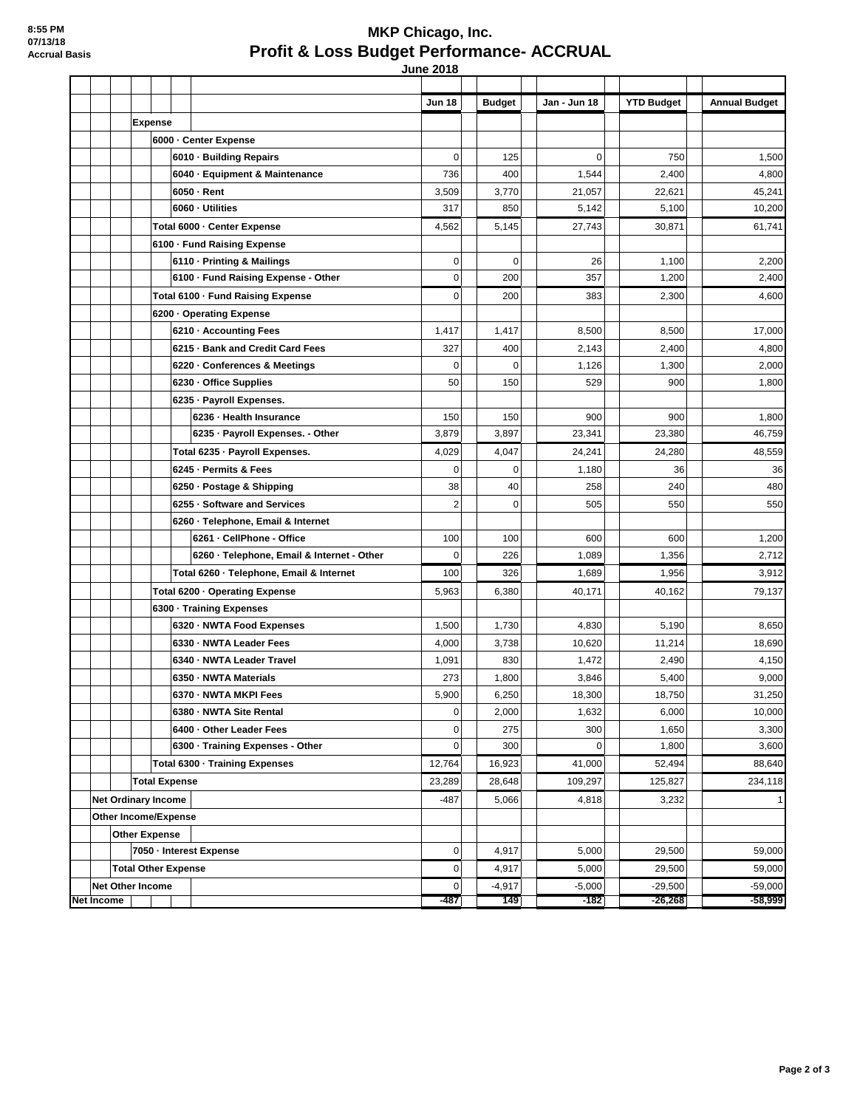## **MKP Chicago, Inc. Profit & Loss Budget Performance- ACCRUAL June 2018**

|            |                            |                |                      |                                                     | <b>Jun 18</b>          | <b>Budget</b>   | Jan - Jun 18       | <b>YTD Budget</b>      | <b>Annual Budget</b>   |
|------------|----------------------------|----------------|----------------------|-----------------------------------------------------|------------------------|-----------------|--------------------|------------------------|------------------------|
|            |                            | <b>Expense</b> |                      |                                                     |                        |                 |                    |                        |                        |
|            |                            |                |                      | 6000 - Center Expense                               |                        |                 |                    |                        |                        |
|            |                            |                |                      | 6010 Building Repairs                               | $\overline{0}$         | 125             | $\mathbf 0$        | 750                    | 1,500                  |
|            |                            |                |                      | 6040 - Equipment & Maintenance                      | 736                    | 400             | 1,544              | 2,400                  | 4,800                  |
|            |                            |                |                      | 6050 - Rent                                         | 3,509                  | 3,770           | 21,057             | 22,621                 | 45,241                 |
|            |                            |                |                      | 6060 - Utilities                                    | 317                    | 850             | 5,142              | 5,100                  | 10,200                 |
|            |                            |                |                      | Total 6000 - Center Expense                         | 4,562                  | 5,145           | 27,743             | 30,871                 | 61,741                 |
|            |                            |                |                      | 6100 · Fund Raising Expense                         |                        |                 |                    |                        |                        |
|            |                            |                |                      | 6110 - Printing & Mailings                          | $\overline{0}$         | 0               | 26                 | 1,100                  | 2,200                  |
|            |                            |                |                      | 6100 - Fund Raising Expense - Other                 | $\overline{0}$         | 200             | 357                | 1,200                  | 2,400                  |
|            |                            |                |                      | Total 6100 - Fund Raising Expense                   | $\overline{0}$         | 200             | 383                | 2,300                  | 4,600                  |
|            |                            |                |                      | 6200 Operating Expense                              |                        |                 |                    |                        |                        |
|            |                            |                |                      | 6210 - Accounting Fees                              | 1,417                  | 1,417           | 8,500              | 8,500                  | 17,000                 |
|            |                            |                |                      | 6215 - Bank and Credit Card Fees                    | 327                    | 400             | 2,143              | 2,400                  | 4,800                  |
|            |                            |                |                      | 6220 - Conferences & Meetings                       | $\overline{0}$         | 0               | 1,126              | 1,300                  | 2,000                  |
|            |                            |                |                      | 6230 - Office Supplies                              | 50                     | 150             | 529                | 900                    | 1,800                  |
|            |                            |                |                      | 6235 - Payroll Expenses.<br>6236 - Health Insurance | 150                    | 150             | 900                | 900                    | 1,800                  |
|            |                            |                |                      | 6235 - Payroll Expenses. - Other                    | 3,879                  | 3,897           | 23,341             | 23,380                 | 46,759                 |
|            |                            |                |                      | Total 6235 - Payroll Expenses.                      | 4,029                  | 4,047           | 24,241             | 24,280                 | 48,559                 |
|            |                            |                |                      | 6245 - Permits & Fees                               | $\overline{0}$         | $\mathbf 0$     | 1,180              | 36                     | 36                     |
|            |                            |                |                      | 6250 - Postage & Shipping                           | 38                     | 40              | 258                | 240                    | 480                    |
|            |                            |                |                      | 6255 - Software and Services                        | $\overline{2}$         | $\mathbf 0$     | 505                | 550                    | 550                    |
|            |                            |                |                      | 6260 - Telephone, Email & Internet                  |                        |                 |                    |                        |                        |
|            |                            |                |                      | 6261 - CellPhone - Office                           | 100                    | 100             | 600                | 600                    | 1,200                  |
|            |                            |                |                      | 6260 - Telephone, Email & Internet - Other          | $\mathbf 0$            | 226             | 1,089              | 1,356                  | 2,712                  |
|            |                            |                |                      | Total 6260 - Telephone, Email & Internet            | 100                    | 326             | 1,689              | 1,956                  | 3,912                  |
|            |                            |                |                      | Total 6200 · Operating Expense                      | 5,963                  | 6,380           | 40,171             | 40,162                 | 79,137                 |
|            |                            |                |                      | 6300 · Training Expenses                            |                        |                 |                    |                        |                        |
|            |                            |                |                      | 6320 - NWTA Food Expenses                           | 1,500                  | 1,730           | 4,830              | 5,190                  | 8,650                  |
|            |                            |                |                      | 6330 - NWTA Leader Fees                             | 4,000                  | 3,738           | 10,620             | 11,214                 | 18,690                 |
|            |                            |                |                      | 6340 - NWTA Leader Travel                           | 1,091                  | 830             | 1,472              | 2,490                  | 4,150                  |
|            |                            |                |                      | 6350 - NWTA Materials                               | 273                    | 1,800           | 3,846              | 5,400                  | 9,000                  |
|            |                            |                |                      | 6370 - NWTA MKPI Fees                               | 5,900                  | 6,250           | 18,300             | 18,750                 | 31,250                 |
|            |                            |                |                      | 6380 - NWTA Site Rental                             | $\overline{0}$         | 2,000           | 1,632              | 6,000                  | 10,000                 |
|            |                            |                |                      | 6400 - Other Leader Fees                            | $\overline{0}$         | 275             | 300                | 1,650                  | 3,300                  |
|            |                            |                |                      | 6300 - Training Expenses - Other                    | $\overline{0}$         | 300             | $\mathbf 0$        | 1,800                  | 3,600                  |
|            |                            |                |                      | Total 6300 - Training Expenses                      | 12,764                 | 16,923          | 41,000             | 52,494                 | 88,640                 |
|            |                            |                | <b>Total Expense</b> |                                                     | 23,289                 | 28,648          | 109,297            | 125,827                | 234,118                |
|            | <b>Net Ordinary Income</b> |                |                      |                                                     | -487                   | 5,066           | 4,818              | 3,232                  | 1                      |
|            | Other Income/Expense       |                |                      |                                                     |                        |                 |                    |                        |                        |
|            | <b>Other Expense</b>       |                |                      |                                                     |                        |                 |                    |                        |                        |
|            |                            |                |                      | 7050 - Interest Expense                             | $\overline{0}$         | 4,917           | 5,000              | 29,500                 | 59,000                 |
|            | <b>Total Other Expense</b> |                |                      |                                                     | $\overline{0}$         | 4,917           | 5,000              | 29,500                 | 59,000                 |
| Net Income | <b>Net Other Income</b>    |                |                      |                                                     | $\overline{0}$<br>-487 | $-4,917$<br>149 | $-5,000$<br>$-182$ | $-29,500$<br>$-26,268$ | $-59,000$<br>$-58,999$ |